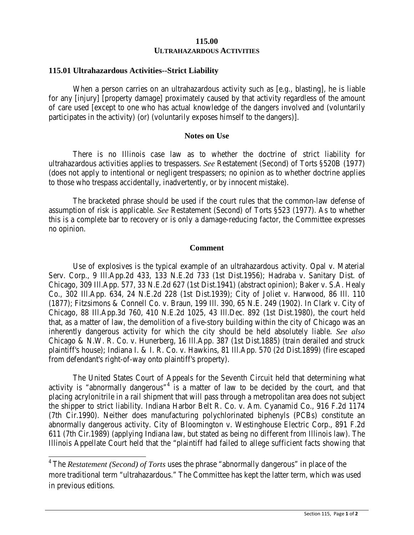## **115.00 ULTRAHAZARDOUS ACTIVITIES**

## **115.01 Ultrahazardous Activities--Strict Liability**

When a person carries on an ultrahazardous activity such as [e.g., blasting], he is liable for any [injury] [property damage] proximately caused by that activity regardless of the amount of care used [except to one who has actual knowledge of the dangers involved and (voluntarily participates in the activity) (or) (voluntarily exposes himself to the dangers)].

## **Notes on Use**

There is no Illinois case law as to whether the doctrine of strict liability for ultrahazardous activities applies to trespassers. *See* Restatement (Second) of Torts §520B (1977) (does not apply to intentional or negligent trespassers; no opinion as to whether doctrine applies to those who trespass accidentally, inadvertently, or by innocent mistake).

The bracketed phrase should be used if the court rules that the common-law defense of assumption of risk is applicable. *See* Restatement (Second) of Torts §523 (1977). As to whether this is a complete bar to recovery or is only a damage-reducing factor, the Committee expresses no opinion.

## **Comment**

Use of explosives is the typical example of an ultrahazardous activity. Opal v. Material Serv. Corp., 9 Ill.App.2d 433, 133 N.E.2d 733 (1st Dist.1956); Hadraba v. Sanitary Dist. of Chicago, 309 Ill.App. 577, 33 N.E.2d 627 (1st Dist.1941) (abstract opinion); Baker v. S.A. Healy Co., 302 Ill.App. 634, 24 N.E.2d 228 (1st Dist.1939); City of Joliet v. Harwood, 86 Ill. 110 (1877); Fitzsimons & Connell Co. v. Braun, 199 Ill. 390, 65 N.E. 249 (1902). In Clark v. City of Chicago, 88 Ill.App.3d 760, 410 N.E.2d 1025, 43 Ill.Dec. 892 (1st Dist.1980), the court held that, as a matter of law, the demolition of a five-story building within the city of Chicago was an inherently dangerous activity for which the city should be held absolutely liable. *See also* Chicago & N.W. R. Co. v. Hunerberg, 16 Ill.App. 387 (1st Dist.1885) (train derailed and struck plaintiff's house); Indiana I. & I. R. Co. v. Hawkins, 81 Ill.App. 570 (2d Dist.1899) (fire escaped from defendant's right-of-way onto plaintiff's property).

The United States Court of Appeals for the Seventh Circuit held that determining what activity is "abnormally dangerous"<sup>[4](#page-0-0)</sup> is a matter of law to be decided by the court, and that placing acrylonitrile in a rail shipment that will pass through a metropolitan area does not subject the shipper to strict liability. Indiana Harbor Belt R. Co. v. Am. Cyanamid Co., 916 F.2d 1174 (7th Cir.1990). Neither does manufacturing polychlorinated biphenyls (PCBs) constitute an abnormally dangerous activity. City of Bloomington v. Westinghouse Electric Corp., 891 F.2d 611 (7th Cir.1989) (applying Indiana law, but stated as being no different from Illinois law). The Illinois Appellate Court held that the "plaintiff had failed to allege sufficient facts showing that

<span id="page-0-0"></span><sup>&</sup>lt;sup>4</sup> The *Restatement (Second) of Torts* uses the phrase "abnormally dangerous" in place of the more traditional term "ultrahazardous." The Committee has kept the latter term, which was used in previous editions.